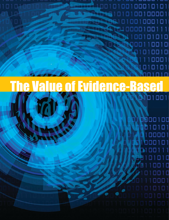10010100100010101 0100100001 1001000101 STRAD Π п 01010  $1D$  $10$ 00011  $\Box$ 1 1

# **The Value of Evidence-Based** 0101001

0900100 Ò  $\Box$ 101 n 1 01

and tool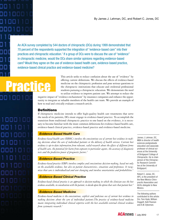An ACA survey completed by 544 doctors of chiropractic (DCs) during 1999 demonstrated that 70 percent of the respondents supported the integration of "evidence-based care" into their practices and chiropractic education.<sup>1</sup> If a group of DCs were to discuss the use of "evidence" in chiropractic medicine, would the DCs share similar opinions regarding evidence-based care? Would they agree on the use of evidence-based health care, evidence-based practice, evidence-based clinical practice and evidence-based medicine?

This article seeks to reduce confusion about the use of "evidence" by offering current definitions. We discuss the effects of evidence-based medicine on the chiropractic profession and pose serious questions to the chiropractic institutions that educate and credential professional students pursuing a chiropractic education. We demonstrate the need to utilize evidence to improve patient care. We attempt to reduce the

negative impact of "evidence enchainment" by insurance companies and enhance the opportunity to integrate as valuable members of the health care team. We provide an example of how to read and critically evaluate a research article.

## **Definitions**

If chiropractic medicine intends to offer high-quality health care treatments that serve the needs of its patients, DCs must engage in evidence-based practice. To accomplish the transition from traditional chiropractic practice to one based on the evidence, it is necessary to become familiar with the most common definitions for evidence-based health care, evidence-based clinical practice, evidence-based practice and evidence-based medicine.

## *Evidence-Based Health Care*

*Evidence-based health care (EBHC) involves the conscientious use of current best evidence in making decisions about the care of individual patients or the delivery of health services. Current best evidence is up-to-date information from relevant, valid research about the effects of different forms of health care, the potential for harm from exposure to particular agents, the accuracy of diagnostic tests and the predictive power of prognostic factors.2*

## *Evidence-Based Practice*

*Evidence-based practice (EBP) involves complex and conscientious decision-making, based not only on the available evidence, but also on patient characteristics, situations and preferences. It recognizes that care is individualized and ever changing and involves uncertainties and probabilities.*<sup>3</sup>

## *Evidence-Based Clinical Practice*

*Evidence-based clinical practice is an approach to decision-making in which the clinician uses the best evidence available, in consultation with the patient, to decide upon the option that suits that patient best.4*

## *Evidence-Based Medicine*

*Evidence-based medicine is the conscientious, explicit and judicious use of current best evidence in making decisions about the care of individual patients.The practice of evidence-based medicine means integrating individual clinical expertise with the best available external clinical evidence from systematic research.5*

James J. Lehman, DC, MBA is director of health sciences postgraduate education and associate professor of clinical sciences at the University of Bridgeport College of Chiropractic. He is chairperson of the Chiropractic Research Committee at the University of Bridgeport.

Robert C. Jones, DC, APC, is the president of the New Mexico Chiropractic Association and ACA's delegate to New Mexico.

The following authors contributed to this article: Drs. Tom Hyde, William Doggett, Kelli Pearson and A.W. Dykeman.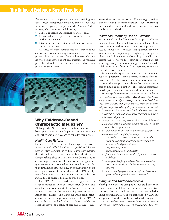## **The Value of Evidence-Based Practice**

We suggest that competent DCs are providing evidence-based chiropractic medicine services, but they may not completely comprehend the "evidence" definitions, which espouse the following:

- **1.** Clinical expertise and experience are essential;
- **2.** Patient values and preferences must be considered by the clinician; and
- **3.** Integration of the best available clinical research completes the process.

All three of these components are important for clinical success, and no single component is more important than the other two. Delving into research studies will not improve patient-care outcomes if you have poor clinical skills and do not understand what is important to your patient.



## **Why Evidence-Based Chiropractic Medicine?**

Although the No. 1 reason to embrace an evidencebased practice is to provide patient-centered care, we offer other pragmatic reasons to consider this model.

#### *Health Care Reform*

On March 23, 2010, President Obama signed the Patient Protection and Affordable Care Act (PPACA). The law puts in place comprehensive health insurance reforms that will roll out over four years and beyond, with most changes taking place by 2014. President Obama believes a focus on prevention will offer our nation the opportunity to not only improve the health of Americans, but also to control health care spending. By concentrating on the underlying drivers of chronic disease, the PPACA helps move from today's sick-care system to a true health care system that encourages health and well-being.

The PPACA is landmark health legislation because it creates the National Prevention Council and calls for the development of the National Prevention Strategy to realize the benefits of prevention for all Americans' health. The National Prevention Strategy is critical to the prevention focus of the PPACA and builds on the law's efforts to lower health care costs, improve the quality of care and provide coverage options for the uninsured. The strategy provides evidence-based recommendations for improving health and wellness and addressing leading causes of disability and death.<sup>6</sup>

#### *Insurance Company Use of Evidence*

What do DCs think of "evidence-based practice" based on using the evidence to determine the value of chiropractic care, to reduce reimbursements or prevent access to chiropractic services? This question probably generates some disparaging thoughts by chiropractic physicians. It is not a secret that chiropractic clinicians attempting to relieve the suffering of their patients, while appeasing the never-ending requests for medical documentation from third-party payers, must avoid frustration with the process.<sup>7</sup>

Maybe another question is more interesting to chiropractic physicians: "How does the evidence affect the practicing DC?" It is common for insurance companies to use studies supporting evidence that reduces cost of care by limiting the number of chiropractic treatments based upon medical necessity and documentation.

*If coverage for chiropractic care is available, the following conditions of coverage apply. CIGNA covers chiropractic manipulation and adjunct therapeutic procedures/modalities (e.g., mobilization, therapeutic exercise, traction) as medically necessary when ALL of the following conditions are met:* 

- *A neuromusculoskeletal condition is diagnosed that may be relieved by standard chiropractic treatment in order to restore optimal function.*
- *Chiropractic care is being performed by a licensed doctor of chiropractic who is practicing within the scope of his/her license as defined by state law.*
- *The individual is involved in a treatment program that clearly documents all of the following:* 
	- *1. a prescribed treatment program that is expected to result in significant therapeutic improvement over a clearly defined period of time*
	- *2. symptoms being treated*
	- *3. diagnostic procedures and results*
	- *4. frequency, duration and results of planned treatment modalities*
	- *5. anticipated length of treatment plan with identification of quantifiable, attainable short-term and longterm goals*
	- *6. demonstrated progress toward significant functional gains and/or improved activity tolerances. 8*

#### *Manipulation Under Anesthesia*

Third-party payers are using published studies to form their coverage guidelines for chiropractic services. One company decides that it will not cover manipulation under anesthesia (MUA) of the spine done by a DC but accepts MUA of the knee by an orthopedic surgeon.<sup>9</sup>

*Aetna considers spinal manipulation under anesthesia (MUA) experimental and investigational. This pro-*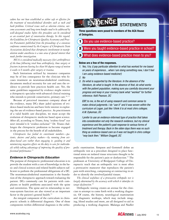*cedure has not been established as either safe or effective for the treatment of musculoskeletal disorders such as neck and back problems. Critical issues such as selection criteria, outcome assessments and long-term benefits need to be addressed by well-designed studies before this procedure can be considered as an essential part of conservative therapy. In this regard, the Guidelines for Chiropractic Quality Assurance and Practice Parameters published from the proceedings of a consensus conference commissioned by the Congress of Chiropractic State Associations declared that chiropractic involvement in manipulation under anesthesia is a new area of special interest that needs further investigation.*

*MUA is considered medically necessary (for) arthrofibrosis of the knee following total knee arthroplasty, knee surgery or fracture in persons having less than 90 degrees range of motion 4 weeks to 6 months after surgery or trauma.*

Such limitations utilized by insurance companies may be of less consequence for the clinician who focuses treatment on neuromusculoskeletal conditions, documents medical necessity for care and uses the evidence to provide best practices health care. Yet, the same guidelines supported by evidence might restrict a chiropractic specialist with advanced clinical training who intends to provide conservative, primary care.<sup>10, 11</sup>

Because of perceived insurance company abuse of the evidence, many DCs share jaded opinions of evidence-based medicine and have little interest in exploring the use of evidence-based practice. As practitioners of a valid health care discipline, we must accept the evolution of chiropractic medicine based upon science. After all, according to Triano, *being "evidence based" was never intended to be "evidence enchained.12* Dr. Triano challenges the chiropractic profession to become engaged in the process for the benefit of all stakeholders.

*Chiropractic has failed its constituent members—patients, doctors and policy makers—by running from evidence-based care rather than engaging it, guiding it and minimizing negative effects on the duty to care for individuals while taking advantage of improving the quality of professional performance.13*

#### *Evidence in Chiropractic Education*

The purpose of chiropractic professional education is to provide the student with a core of knowledge in the basic and clinical sciences and related health subjects sufficient to perform the professional obligations of a DC. The neuromusculoskeletal examination is the foundation of the chiropractic approach toward evaluating the patient. DCs commonly care for patients with complaints or health problems associated with the spine and extremities. The spine and its relationship to nervous-system function are also viewed as an important factor in the patient's general health.<sup>14</sup>

An integral component of the curriculum in chiropractic schools is differential diagnosis. One of those components within differential diagnosis is the ortho-

## EW DENCE STATEMENTS Three questions were posed to members of the ACA House

of Delegates.

- 1 Do you use evidence-based practice?
- 2 Were you taught evidence-based practice in school?
- 3 What does evidence-based practice mean to you?

#### Below are a few of the responses.

- *1. Yes, I try. (I pay particular attention to what has worked for me based on years of experience... when I am doing something new, I don't feel I am using evidence-based medicine!)*
- *2. No*
- *3. Do what is supported by the literature. In the absence of the literature, do what is taught. In the absence of that, do what works with the patient population, making sure you carefully document your progress and keep in your memory bank what "worked" for further reference. Kelli Pearson, DC*

*EBP, to me, is the act of using research and common sense to make clinical judgments. I do "use it" and it was woven within the curriculum at Logan, just like I think it is at most chiro colleges. A.W. Dykeman, DC*

*I prefer to use an evidence-informed type of practice that takes into consideration not only the research evidence, but my clinical experience and the patient's past response to various forms of treatment and therapy. Back in the olden days there was no such thing as evidence-based care so it was not taught in chiro college "way back then." William Doggett, DC*

pedic examination. Simpson and Gemmell define an orthopedic test as a procedure designed to place functional stress on isolated tissue structures thought to be responsible for the patient's pain or dysfunction.<sup>15</sup> The professors at University of Bridgeport College of Chiropractic teach that an orthopedic test is most often a provocative maneuver that reproduces the patient's pain with stretching, compressing or contracting in order to identify the involved/painful tissues.

*The clinical usefulness of a provocative orthopedic test is largely determined by the accuracy with which it identifies its target dysfunction.16*

Orthopedic testing creates an avenue for the clinician to attempt to come forth with a working diagnosis. Of course, the history, neurological examination and diagnostic workups, which may include imaging, blood studies and more, are all designed to aid in producing a working diagnosis. Malanga and Nadler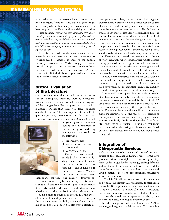

## **The Value of Evidence-Based Practice**

produced a text that addresses which orthopedic tests have undergone forms of testing that will give insight into their predictability. Many tests commonly in use have very poor specificity and sensitivity. According to these authors, "*Not only is there confusion, there is also misinterpretation of the clinical significance of these test maneuvers, which is compounded when they are not standardized. This has resulted in confusion in the medical literature, especially when attempting to demonstrate the scientific validity of these tests."17*

It has been argued that chiropractic colleges must invest in academic research and teach a regimen of evidence-based treatments to improve the cultural authority position of DCs.<sup>18</sup> We strongly recommend that all chiropractic institutions teach evidence-based chiropractic medicine and that practicing DCs improve their clinical skills with postgraduate training and use of the current literature.

## Critical Evaluation of the Literature

One component of evidence-based practice is reading and evaluating the literature. Perhaps a pregnant woman wants to know if manual muscle testing will tell her the gender of her baby so she asks you if it is accurate. Rather than guess, you decide to check out the literature. The first step is to form a PICO question (Patient, Intervention - or substitute D for Diagnostic technique, Comparison, Outcome) to pick



out your keywords. If you were looking for information on muscle testing for predicting fetal gender, you would use the following:

- P pregnant women
- D manual muscle testing
- C ultrasound
- O correct fetal gender

One article that is found is entitled, "A case series evaluating the accuracy of manual muscle testing for predicting fetal sex." The conclusion in the abstract states, "Manual muscle testing is no better

than chance for predicting gender." However, abstracts can occasionally be misleading, so it is important to read and review the full paper to determine if it truly matches the patient and situation, and whether or not the data back up the authors' claim.

A good place to begin is to determine if the article addresses a clear and specific question. In this case, yes, the study addresses the ability of manual muscle testing to predict fetal gender. You also want a clearly defined population. Here, the authors enrolled pregnant women in the Northwest United States over the course of about three and one-half years. There is not any reason to believe women in other parts of North America would be any more or less likely to experience different results. The authors excluded women who knew fetal gender from a previous ultrasound or genetic testing.

A valid study on a diagnostic technique requires a comparison to a gold standard for that diagnosis. Ultrasound technology (sonogram) determines fetal gender, and that is the reference used as the comparison in this article. The sonograms correctly predicted gender in the ten of twelve situations where genitalia were visible. Muscle testing predicted the correct gender only 13 of 27 times. It is also important to note that muscle testing preceded the gold standard ultrasound tests, so knowledge of the gold standard did not affect the muscle-testing results.

A review of the statistics backs up the conclusion by the researchers. They present likelihood ratios, specificity, sensitivity, positive predictive value and negative predictive value. All the statistics indicate an inability to predict fetal gender with manual muscle testing.

There would be two possible issues with this study. One drawback is that only 12 of the 27 participants underwent ultrasound. It would be better if all 27 used both tests, but since there is such a large disparity in accuracy in this study, that is probably acceptable. The second issue was the inability to completely blind the examiner to all the muscle tests because of the sequence. The examiner and the pregnant women were completely blinded to the gender of the fetus. Still, with the solid results, it is unlikely that these two issues had much bearing on the conclusion. Based on this study, manual muscle testing will not predict fetal gender.

## Integration of Chiropractic Services

Reforms under PPACA have ended some of the worst abuses of the insurance industry. These reforms have given Americans new rights and benefits, by helping more children get health coverage, ending lifetime and most annual limits on care, allowing young adults under 26 to stay on their parent's health insurance and giving patients access to recommended preventive services without cost.

 The PPACA will increase access to affordable care and rebuild the primary care workforce. To strengthen the availability of primary care, there are new incentives in the law to expand the number of primary care doctors, nurses and physician assistants, including funding for scholarships and loan repayments for primary care doctors and nurses working in underserved areas.

In order to improve quality and lower costs, PPACA encourages integrated health systems. This new law